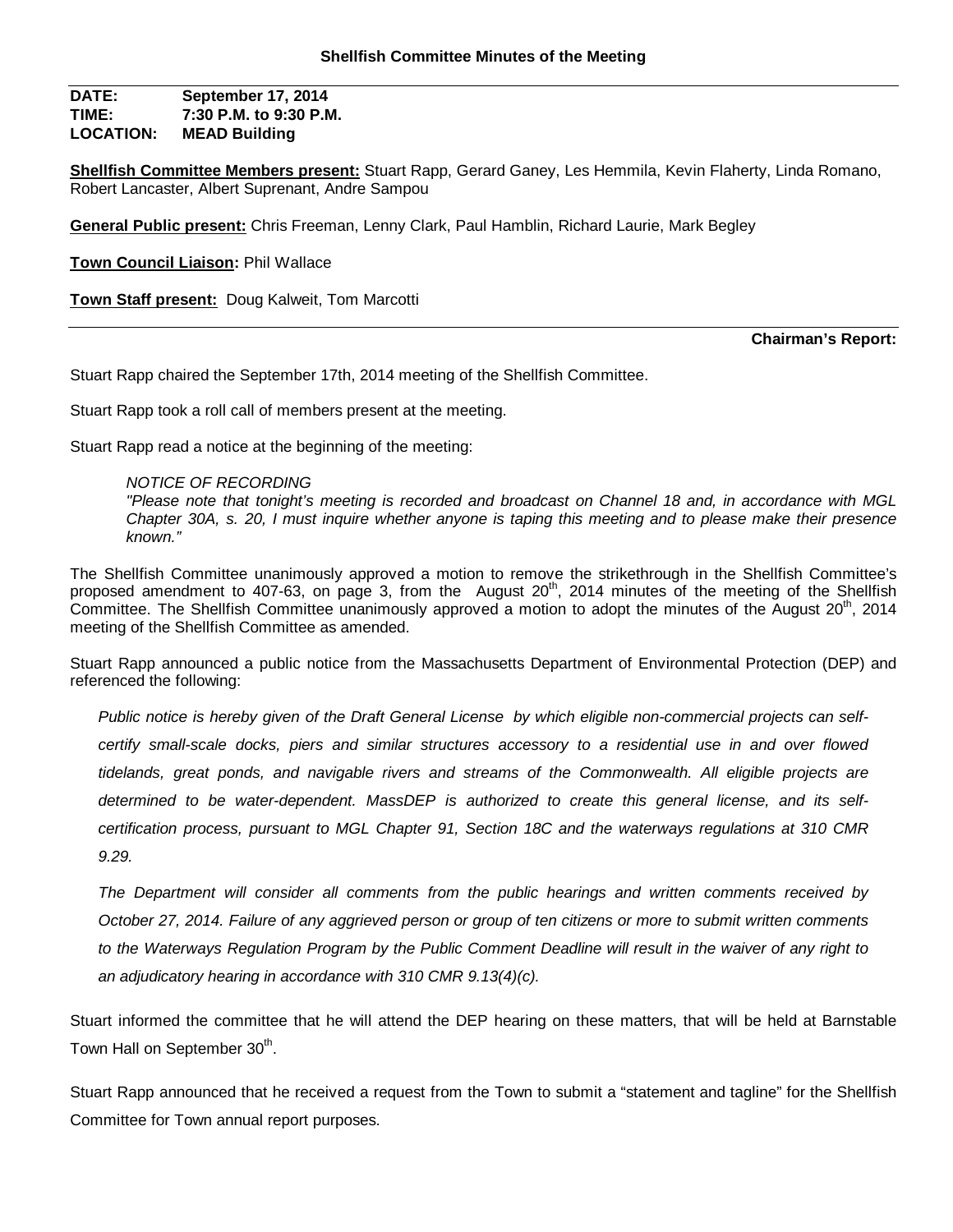**DATE: September 17, 2014 TIME: 7:30 P.M. to 9:30 P.M. LOCATION: MEAD Building**

**Shellfish Committee Members present:** Stuart Rapp, Gerard Ganey, Les Hemmila, Kevin Flaherty, Linda Romano, Robert Lancaster, Albert Suprenant, Andre Sampou

**General Public present:** Chris Freeman, Lenny Clark, Paul Hamblin, Richard Laurie, Mark Begley

**Town Council Liaison:** Phil Wallace

**Town Staff present:** Doug Kalweit, Tom Marcotti

#### **Chairman's Report:**

Stuart Rapp chaired the September 17th, 2014 meeting of the Shellfish Committee.

Stuart Rapp took a roll call of members present at the meeting.

Stuart Rapp read a notice at the beginning of the meeting:

#### *NOTICE OF RECORDING*

*"Please note that tonight's meeting is recorded and broadcast on Channel 18 and, in accordance with MGL Chapter 30A, s. 20, I must inquire whether anyone is taping this meeting and to please make their presence known."*

The Shellfish Committee unanimously approved a motion to remove the strikethrough in the Shellfish Committee's proposed amendment to 407-63, on page 3, from the August 20<sup>th</sup>, 2014 minutes of the meeting of the Shellfish Committee. The Shellfish Committee unanimously approved a motion to adopt the minutes of the August 20<sup>th</sup>, 2014 meeting of the Shellfish Committee as amended.

Stuart Rapp announced a public notice from the Massachusetts Department of Environmental Protection (DEP) and referenced the following:

*Public notice is hereby given of the Draft General License by which eligible non-commercial projects can selfcertify small-scale docks, piers and similar structures accessory to a residential use in and over flowed tidelands, great ponds, and navigable rivers and streams of the Commonwealth. All eligible projects are determined to be water-dependent. MassDEP is authorized to create this general license, and its selfcertification process, pursuant to MGL Chapter 91, Section 18C and the waterways regulations at 310 CMR 9.29.* 

*The Department will consider all comments from the public hearings and written comments received by October 27, 2014. Failure of any aggrieved person or group of ten citizens or more to submit written comments to the Waterways Regulation Program by the Public Comment Deadline will result in the waiver of any right to an adjudicatory hearing in accordance with 310 CMR 9.13(4)(c).*

Stuart informed the committee that he will attend the DEP hearing on these matters, that will be held at Barnstable Town Hall on September  $30<sup>th</sup>$ .

Stuart Rapp announced that he received a request from the Town to submit a "statement and tagline" for the Shellfish Committee for Town annual report purposes.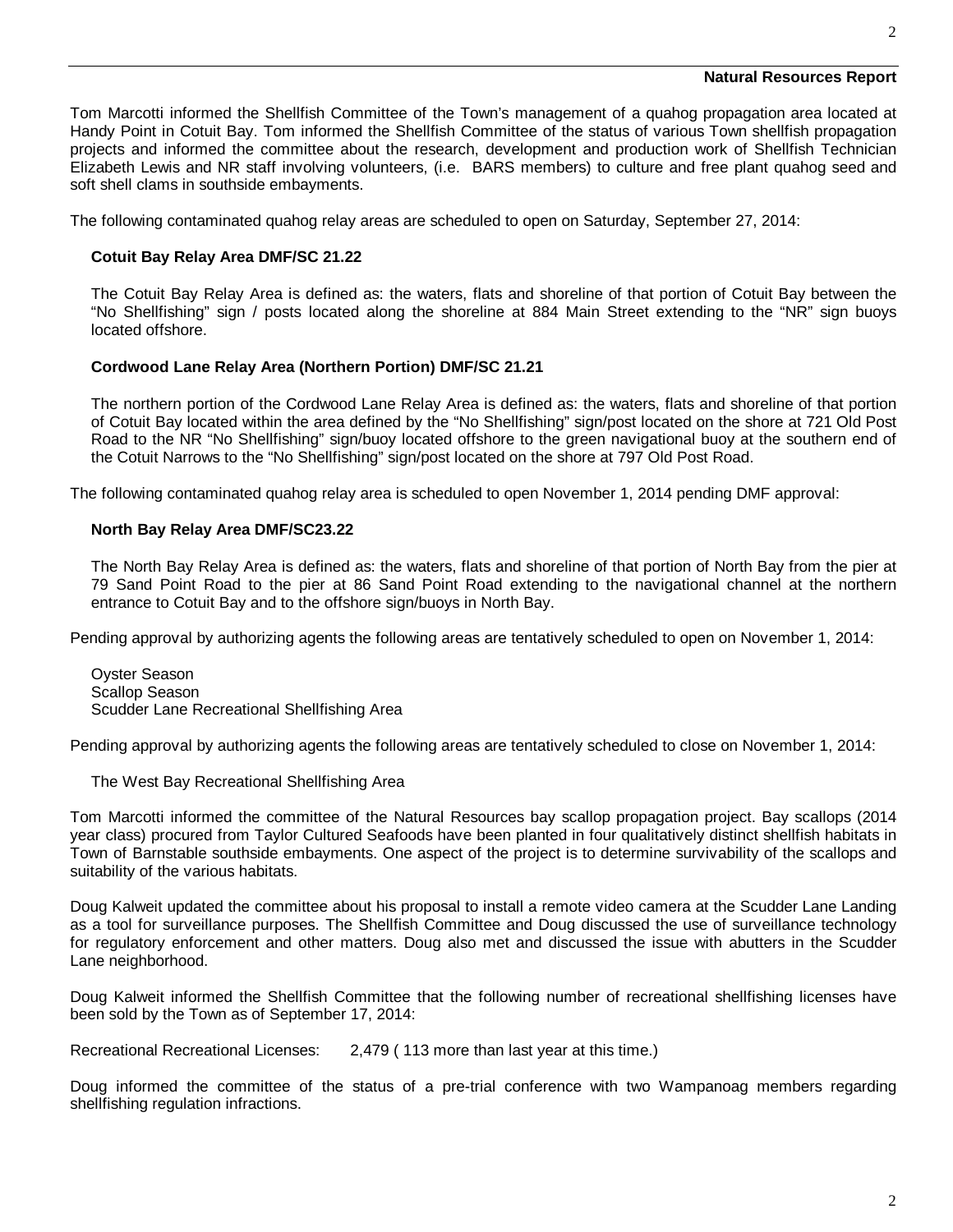## **Natural Resources Report**

2

Tom Marcotti informed the Shellfish Committee of the Town's management of a quahog propagation area located at Handy Point in Cotuit Bay. Tom informed the Shellfish Committee of the status of various Town shellfish propagation projects and informed the committee about the research, development and production work of Shellfish Technician Elizabeth Lewis and NR staff involving volunteers, (i.e. BARS members) to culture and free plant quahog seed and soft shell clams in southside embayments.

The following contaminated quahog relay areas are scheduled to open on Saturday, September 27, 2014:

### **Cotuit Bay Relay Area DMF/SC 21.22**

The Cotuit Bay Relay Area is defined as: the waters, flats and shoreline of that portion of Cotuit Bay between the "No Shellfishing" sign / posts located along the shoreline at 884 Main Street extending to the "NR" sign buoys located offshore.

### **Cordwood Lane Relay Area (Northern Portion) DMF/SC 21.21**

The northern portion of the Cordwood Lane Relay Area is defined as: the waters, flats and shoreline of that portion of Cotuit Bay located within the area defined by the "No Shellfishing" sign/post located on the shore at 721 Old Post Road to the NR "No Shellfishing" sign/buoy located offshore to the green navigational buoy at the southern end of the Cotuit Narrows to the "No Shellfishing" sign/post located on the shore at 797 Old Post Road.

The following contaminated quahog relay area is scheduled to open November 1, 2014 pending DMF approval:

### **North Bay Relay Area DMF/SC23.22**

The North Bay Relay Area is defined as: the waters, flats and shoreline of that portion of North Bay from the pier at 79 Sand Point Road to the pier at 86 Sand Point Road extending to the navigational channel at the northern entrance to Cotuit Bay and to the offshore sign/buoys in North Bay.

Pending approval by authorizing agents the following areas are tentatively scheduled to open on November 1, 2014:

Oyster Season Scallop Season Scudder Lane Recreational Shellfishing Area

Pending approval by authorizing agents the following areas are tentatively scheduled to close on November 1, 2014:

The West Bay Recreational Shellfishing Area

Tom Marcotti informed the committee of the Natural Resources bay scallop propagation project. Bay scallops (2014 year class) procured from Taylor Cultured Seafoods have been planted in four qualitatively distinct shellfish habitats in Town of Barnstable southside embayments. One aspect of the project is to determine survivability of the scallops and suitability of the various habitats.

Doug Kalweit updated the committee about his proposal to install a remote video camera at the Scudder Lane Landing as a tool for surveillance purposes. The Shellfish Committee and Doug discussed the use of surveillance technology for regulatory enforcement and other matters. Doug also met and discussed the issue with abutters in the Scudder Lane neighborhood.

Doug Kalweit informed the Shellfish Committee that the following number of recreational shellfishing licenses have been sold by the Town as of September 17, 2014:

Recreational Recreational Licenses: 2,479 ( 113 more than last year at this time.)

Doug informed the committee of the status of a pre-trial conference with two Wampanoag members regarding shellfishing regulation infractions.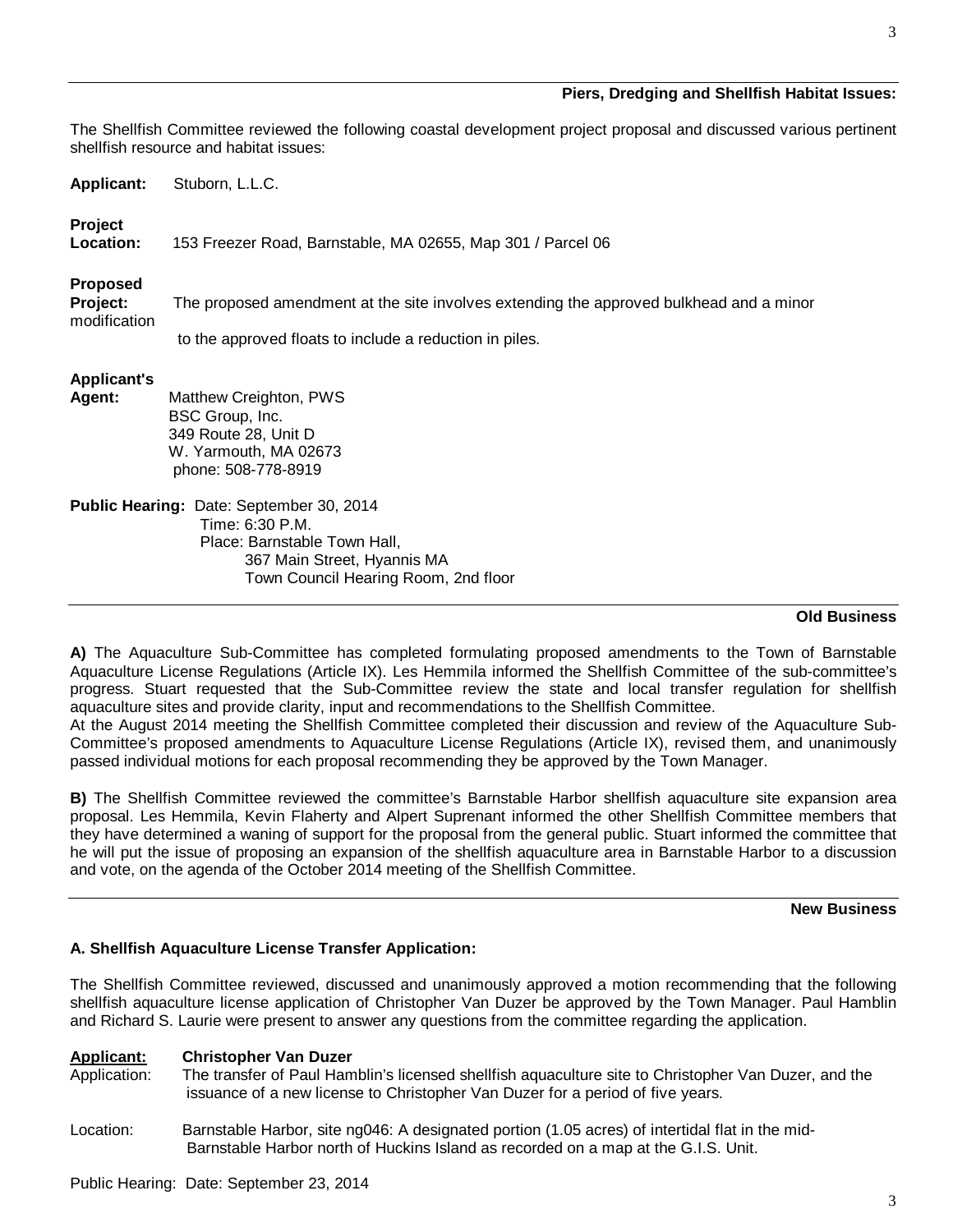## **Piers, Dredging and Shellfish Habitat Issues:**

The Shellfish Committee reviewed the following coastal development project proposal and discussed various pertinent shellfish resource and habitat issues:

**Applicant:** Stuborn, L.L.C.

# **Project**

**Location:** 153 Freezer Road, Barnstable, MA 02655, Map 301 / Parcel 06

# **Proposed**

**Project:** The proposed amendment at the site involves extending the approved bulkhead and a minor modification

to the approved floats to include a reduction in piles.

# **Applicant's**

**Agent:** Matthew Creighton, PWS BSC Group, Inc. 349 Route 28, Unit D W. Yarmouth, MA 02673 phone: 508-778-8919

**Public Hearing:** Date: September 30, 2014 Time: 6:30 P.M. Place: Barnstable Town Hall, 367 Main Street, Hyannis MA Town Council Hearing Room, 2nd floor 

## **Old Business**

**A)** The Aquaculture Sub-Committee has completed formulating proposed amendments to the Town of Barnstable Aquaculture License Regulations (Article IX). Les Hemmila informed the Shellfish Committee of the sub-committee's progress. Stuart requested that the Sub-Committee review the state and local transfer regulation for shellfish aquaculture sites and provide clarity, input and recommendations to the Shellfish Committee.

At the August 2014 meeting the Shellfish Committee completed their discussion and review of the Aquaculture Sub-Committee's proposed amendments to Aquaculture License Regulations (Article IX), revised them, and unanimously passed individual motions for each proposal recommending they be approved by the Town Manager.

**B)** The Shellfish Committee reviewed the committee's Barnstable Harbor shellfish aquaculture site expansion area proposal. Les Hemmila, Kevin Flaherty and Alpert Suprenant informed the other Shellfish Committee members that they have determined a waning of support for the proposal from the general public. Stuart informed the committee that he will put the issue of proposing an expansion of the shellfish aquaculture area in Barnstable Harbor to a discussion and vote, on the agenda of the October 2014 meeting of the Shellfish Committee.

## **New Business**

# **A. Shellfish Aquaculture License Transfer Application:**

The Shellfish Committee reviewed, discussed and unanimously approved a motion recommending that the following shellfish aquaculture license application of Christopher Van Duzer be approved by the Town Manager. Paul Hamblin and Richard S. Laurie were present to answer any questions from the committee regarding the application.

# **Applicant: Christopher Van Duzer**

- Application: The transfer of Paul Hamblin's licensed shellfish aquaculture site to Christopher Van Duzer, and the issuance of a new license to Christopher Van Duzer for a period of five years.
- Location: Barnstable Harbor, site ng046: A designated portion (1.05 acres) of intertidal flat in the mid- Barnstable Harbor north of Huckins Island as recorded on a map at the G.I.S. Unit.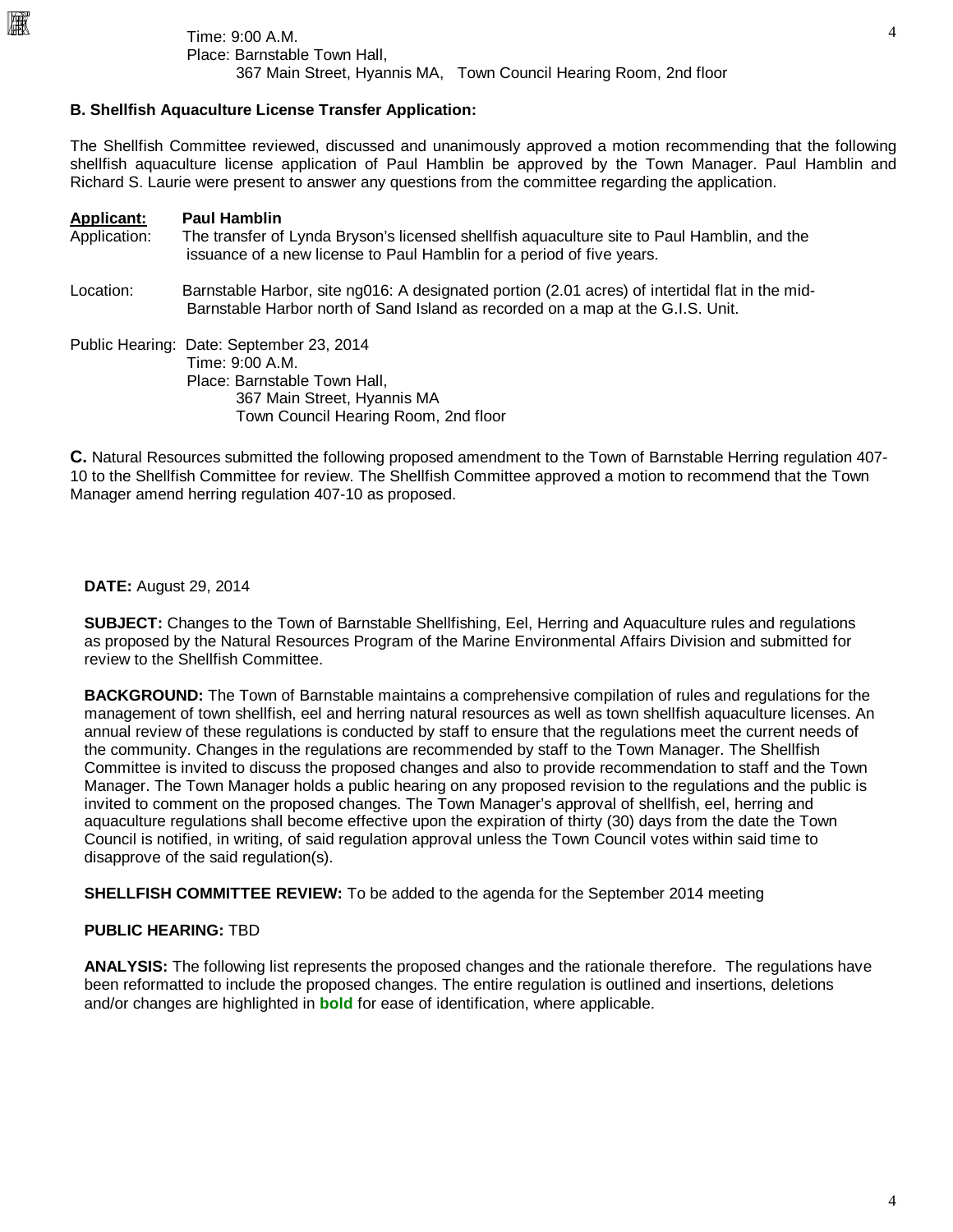## **B. Shellfish Aquaculture License Transfer Application:**

The Shellfish Committee reviewed, discussed and unanimously approved a motion recommending that the following shellfish aquaculture license application of Paul Hamblin be approved by the Town Manager. Paul Hamblin and Richard S. Laurie were present to answer any questions from the committee regarding the application.

| <b>Applicant:</b><br>Application: | <b>Paul Hamblin</b><br>The transfer of Lynda Bryson's licensed shellfish aquaculture site to Paul Hamblin, and the<br>issuance of a new license to Paul Hamblin for a period of five years. |
|-----------------------------------|---------------------------------------------------------------------------------------------------------------------------------------------------------------------------------------------|
| Location:                         | Barnstable Harbor, site ng016: A designated portion (2.01 acres) of intertidal flat in the mid-<br>Barnstable Harbor north of Sand Island as recorded on a map at the G.I.S. Unit.          |
|                                   | Public Hearing: Date: September 23, 2014<br>Time: 9:00 A.M.<br>Place: Barnstable Town Hall,<br>367 Main Street, Hyannis MA<br>Town Council Hearing Room, 2nd floor                          |

**C.** Natural Resources submitted the following proposed amendment to the Town of Barnstable Herring regulation 407- 10 to the Shellfish Committee for review. The Shellfish Committee approved a motion to recommend that the Town Manager amend herring regulation 407-10 as proposed.

**DATE:** August 29, 2014

圝

**SUBJECT:** Changes to the Town of Barnstable Shellfishing, Eel, Herring and Aquaculture rules and regulations as proposed by the Natural Resources Program of the Marine Environmental Affairs Division and submitted for review to the Shellfish Committee.

**BACKGROUND:** The Town of Barnstable maintains a comprehensive compilation of rules and regulations for the management of town shellfish, eel and herring natural resources as well as town shellfish aquaculture licenses. An annual review of these regulations is conducted by staff to ensure that the regulations meet the current needs of the community. Changes in the regulations are recommended by staff to the Town Manager. The Shellfish Committee is invited to discuss the proposed changes and also to provide recommendation to staff and the Town Manager. The Town Manager holds a public hearing on any proposed revision to the regulations and the public is invited to comment on the proposed changes. The Town Manager's approval of shellfish, eel, herring and aquaculture regulations shall become effective upon the expiration of thirty (30) days from the date the Town Council is notified, in writing, of said regulation approval unless the Town Council votes within said time to disapprove of the said regulation(s).

**SHELLFISH COMMITTEE REVIEW:** To be added to the agenda for the September 2014 meeting

## **PUBLIC HEARING:** TBD

**ANALYSIS:** The following list represents the proposed changes and the rationale therefore. The regulations have been reformatted to include the proposed changes. The entire regulation is outlined and insertions, deletions and/or changes are highlighted in **bold** for ease of identification, where applicable.